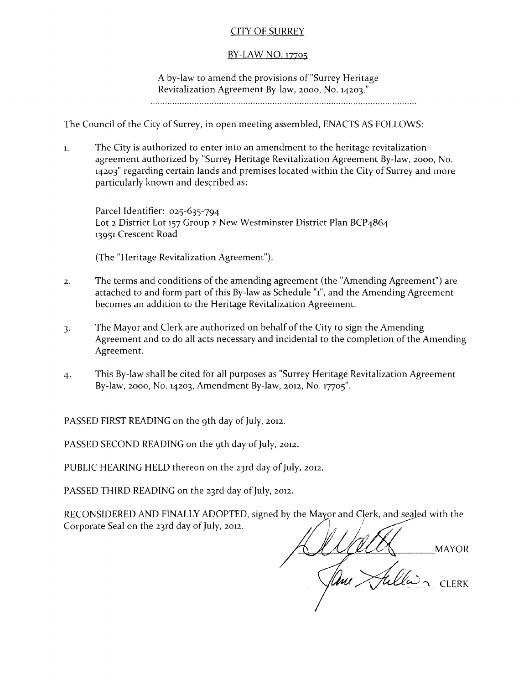# CITY OF SURREY

## BY-LAW NO. 17705

A by-law to amend the provisions of "Surrey Heritage Revitalization Agreement By-law, 2000, No. 14203." 

The Council of the City of Surrey, in open meeting assembled, ENACTS AS FOLLOWS:

1. The City is authorized to enter into an amendment to the heritage revitalization agreement authorized by "Surrey Heritage Revitalization Agreement By-law, 2000, No. 14203" regarding certain lands and premises located within the City of Surrey and more particularly known and described as:

Parcel Identifier: 025-635-794 Lot 2 District Lot 157 Group 2 New Westminster District Plan BCP4864 13951 Crescent Road

{The "Heritage Revitalization Agreement"}.

- 2. The terms and conditions of the amending agreement {the "Amending Agreement"} are attached to and form part of this By-law as Schedule "1", and the Amending Agreement becomes an addition to the Heritage Revitalization Agreement.
- 3. The Mayor and Clerk are authorized on behalf of the City to sign the Amending Agreement and to do all acts necessary and incidental to the completion of the Amending Agreement.
- 4. This By-law shall be cited for all purposes as "Surrey Heritage Revitalization Agreement By-law, 2000, No. 14203, Amendment By-law, 2012, No. 17705".

PASSED FIRST READING on the 9th day of July, 2012.

PASSED SECOND READING on the 9th day of July, 2012.

PUBLIC HEARING HELD thereon on the 23rd day of July, 2012.

PASSED THIRD READING on the 23rd day of July, 2012.

RECONSIDERED AND FINALLY ADOPTED, signed by the Mayor and Clerk, and sealed with the Corporate Seal on the 23rd day of July, 2012.

j~  $_{\odot}$  ///////  $\mu$ *lime (Tulla)*  $\sim$  *CLERK*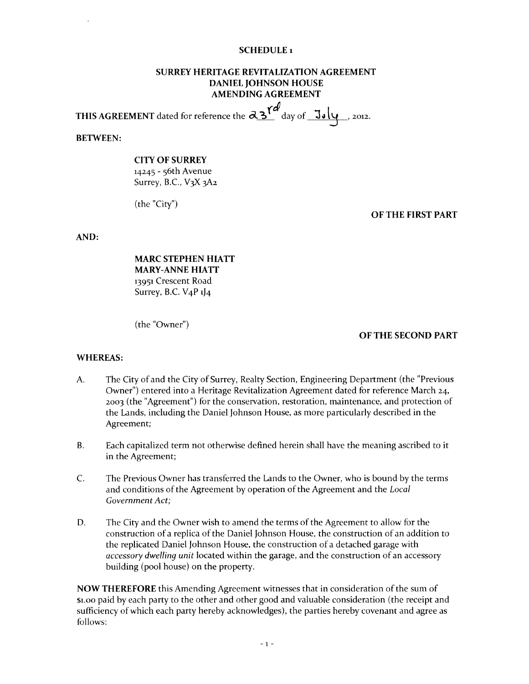#### **SCHEDULE**<sub>1</sub>

### **SURREY HERITAGE REVITALIZATION AGREEMENT DANIEL JOHNSON HOUSE AMENDING AGREEMENT**

**THIS AGREEMENT** dated for reference the  $\alpha_{3}^{\alpha}$  day of  $\frac{J_{\alpha}}{J_{\alpha}}$ , 2012.

**BETWEEN:** 

### **CITY OF SURREY**  14245 - 56th Avenue Surrey, B.C., V3X 3A2

(the "City")

#### **OF THE FIRST PART**

**AND:** 

**MARC STEPHEN HIATT MARY-ANNE HIATT**  13951 Crescent Road Surrey, B.C. V<sub>4</sub>P  $1$ <sup>1</sup><sub>4</sub>

(the "Owner")

#### **OF THE SECOND PART**

#### **WHEREAS:**

- A. The City of and the City of Surrey, Realty Section, Engineering Department (the "Previous Owner") entered into a Heritage Revitalization Agreement dated for reference March 24, 2003 (the "Agreement") for the conservation, restoration, maintenance, and protection of the Lands, including the Daniel Johnson House, as more particularly described in the Agreement;
- B. Each capitalized term not otherwise defined herein shall have the meaning ascribed to it in the Agreement;
- C. The Previous Owner has transferred the Lands to the Owner, who is bound by the terms and conditions of the Agreement by operation of the Agreement and the *Local Government Act;*
- D. The City and the Owner wish to amend the terms of the Agreement to allow for the construction of a replica of the Daniel Johnson House, the construction of an addition to the replicated Daniel Johnson House, the construction of a detached garage with *accessory dwelling unit* located within the garage, and the construction of an accessory building (pool house) on the property.

**NOW THEREFORE** this Amending Agreement witnesses that in consideration of the sum of \$1.00 paid by each party to the other and other good and valuable consideration (the receipt and sufficiency of which each party hereby acknowledges), the parties hereby covenant and agree as follows: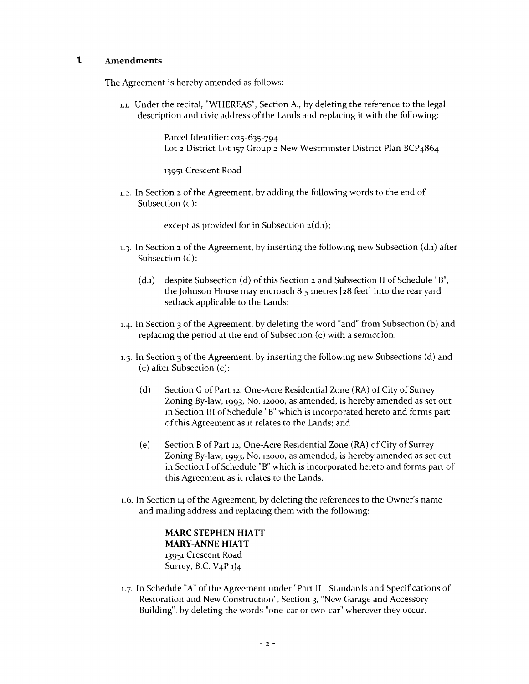### **t Amendments**

The Agreement is hereby amended as follows:

1.1. Under the recital, "WHEREAS", Section A., by deleting the reference to the legal description and civic address of the Lands and replacing it with the following:

> Parcel Identifier: 025-635-794 Lot 2 District Lot 157 Group 2 New Westminster District Plan BCP4864

13951 Crescent Road

1.2. In Section 2 of the Agreement, by adding the following words to the end of Subsection (d):

except as provided for in Subsection 2(d.1);

- 1.3. In Section 2 of the Agreement, by inserting the following new Subsection (d.1) after Subsection (d):
	- (d.1) despite Subsection (d) of this Section 2 and Subsection II of Schedule "B", the Johnson House may encroach 8.5 metres [28 feet] into the rear yard setback applicable to the Lands;
- 1.4- In Section 3 of the Agreement, by deleting the word "and" from Subsection (b) and replacing the period at the end of Subsection (c) with a semicolon.
- 1.5. In Section 3 of the Agreement, by inserting the following new Subsections (d) and (e) after Subsection (c):
	- (d) Section G of Part 12, One-Acre Residential Zone (RA) of City of Surrey Zoning By-law, 1993, No. 12000, as amended, is hereby amended as set out in Section III of Schedule "B" which is incorporated hereto and forms part of this Agreement as it relates to the Lands; and
	- (e) Section B of Part 12, One-Acre Residential Zone (RA) of City of Surrey Zoning By-law, 1993, No. 12000, as amended, is hereby amended as set out in Section I of Schedule "B" which is incorporated hereto and forms part of this Agreement as it relates to the Lands.
- 1.6. In Section 14 of the Agreement, by deleting the references to the Owner's name and mailing address and replacing them with the following:

**MARC STEPHEN HIATT MARY-ANNE HIATT**  13951 Crescent Road Surrey, B.C. V<sub>4</sub>P  $1$ <sup>4</sup>

L7. In Schedule "A" of the Agreement under "Part II - Standards and Specifications of Restoration and New Construction", Section 3, "New Garage and Accessory Building", by deleting the words "one-car or two-car" wherever they occur.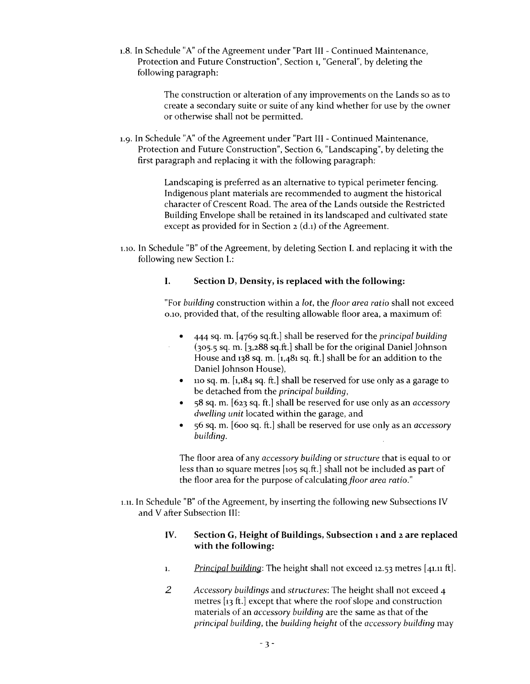1.8. In Schedule "A" of the Agreement under "Part III - Continued Maintenance, Protection and Future Construction", Section 1, "General", by deleting the following paragraph:

> The construction or alteration of any improvements on the Lands so as to create a secondary suite or suite of any kind whether for use by the owner or otherwise shall not be permitted.

1.9. In Schedule "A" of the Agreement under "Part III - Continued Maintenance, Protection and Future Construction", Section 6, "Landscaping", by deleting the first paragraph and replacing it with the following paragraph:

> Landscaping is preferred as an alternative to typical perimeter fencing. Indigenous plant materials are recommended to augment the historical character of Crescent Road. The area of the Lands outside the Restricted Building Envelope shall be retained in its landscaped and cultivated state except as provided for in Section 2 (d.1) of the Agreement.

1.10. In Schedule "B" of the Agreement, by deleting Section I. and replacing it with the following new Section I.:

## I. Section D, Density, is replaced with the following:

"For *building* construction within a *lot,* the *jloor area ratio* shall not exceed 0.10, provided that, of the resulting allowable floor area, a maximum of:

- 444 sq. m. [4769 sq.ft.] shall be reserved for the *principal building*  (305.5 sq. m. [3,288 sq.ft.] shall be for the original Daniel Johnson House and 138 sq. m. [1,481 sq. ft.] shall be for an addition to the Daniel Johnson House),
- 110 sq. m.  $\left[1,184\right]$  sq. ft.] shall be reserved for use only as a garage to be detached from the *principal building,*
- 58 sq. m. [623 sq. ft.] shall be reserved for use only as an *accessory dwelling unit* located within the garage, and
- 56 sq. m. [600 sq. ft.] shall be reserved for use only as an *accessory building.*

The floor area of any *accessory building* or *structure* that is equal to or less than 10 square metres [105 sq.ft.] shall not be included as part of the floor area for the purpose of calculating floor area ratio."

1.11. In Schedule "B" of the Agreement, by inserting the following new Subsections IV and V after Subsection III:

## IV. Section G, Height of Buildings, Subsection 1 and 2 are replaced with the following:

- 1. *Principal building:* The height shall not exceed 12.53 metres [41.11 ft].
- *2 Accessory buildings* and *structures:* The height shall not exceed 4 metres [13 ft.] except that where the roof slope and construction materials of an *accessory building* are the same as that of the *principal building,* the *building height* of the *accessory building* may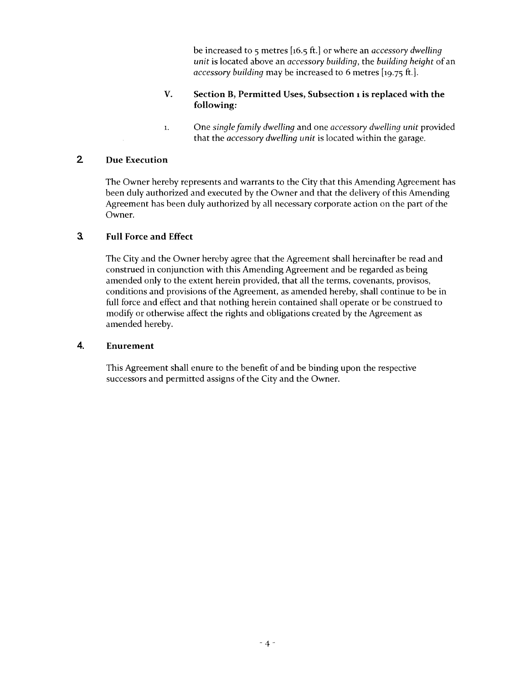be increased to 5 metres [16.5 ft.] or where an *accessory dwelling unit* is located above an *accessory building,* the *building height* of an *accessory building* may be increased to 6 metres [19.75 ft.].

## V. Section B, Permitted Uses, Subsection 1 is replaced with the following:

1. One *single family dwelling* and one *accessory dwelling unit* provided that the *accessory dwelling unit* is located within the garage.

# 2 Due Execution

The Owner hereby represents and warrants to the City that this Amending Agreement has been duly authorized and executed by the Owner and that the delivery of this Amending Agreement has been duly authorized by all necessary corporate action on the part of the Owner.

## 3. Full Force and Effect

The City and the Owner hereby agree that the Agreement shall hereinafter be read and construed in conjunction with this Amending Agreement and be regarded as being amended only to the extent herein provided, that all the terms, covenants, provisos, conditions and provisions of the Agreement, as amended hereby, shall continue to be in full force and effect and that nothing herein contained shall operate or be construed to modify or otherwise affect the rights and obligations created by the Agreement as amended hereby.

### 4. Enurement

This Agreement shall enure to the benefit of and be binding upon the respective successors and permitted assigns of the City and the Owner.